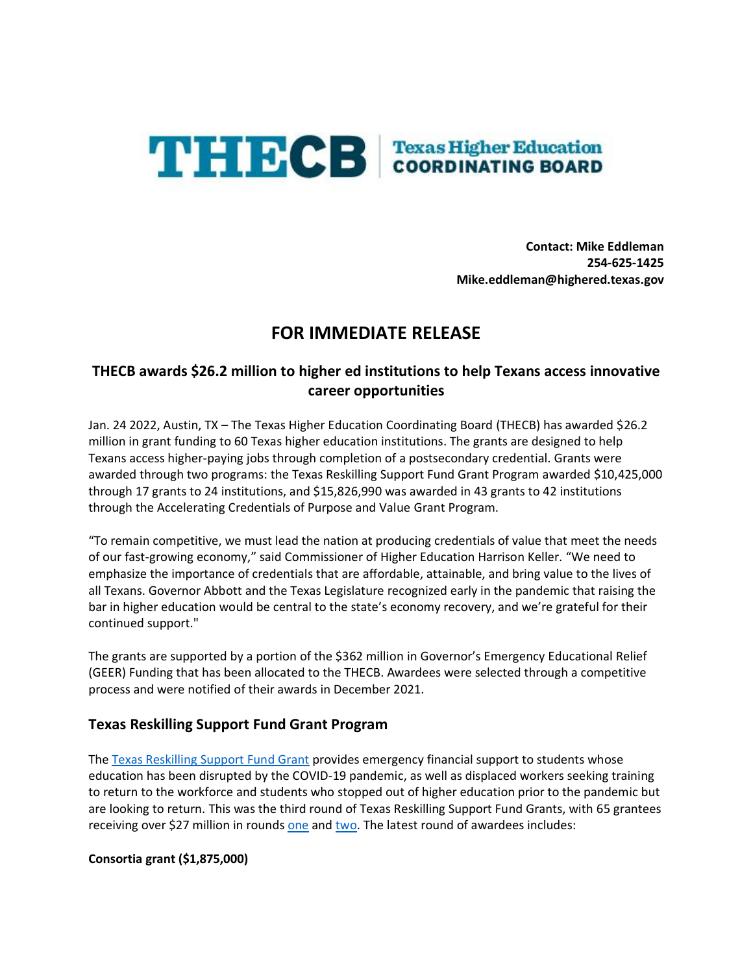

**Contact: Mike Eddleman 254-625-1425 Mike.eddleman@highered.texas.gov**

# **FOR IMMEDIATE RELEASE**

# **THECB awards \$26.2 million to higher ed institutions to help Texans access innovative career opportunities**

Jan. 24 2022, Austin, TX – The Texas Higher Education Coordinating Board (THECB) has awarded \$26.2 million in grant funding to 60 Texas higher education institutions. The grants are designed to help Texans access higher-paying jobs through completion of a postsecondary credential. Grants were awarded through two programs: the Texas Reskilling Support Fund Grant Program awarded \$10,425,000 through 17 grants to 24 institutions, and \$15,826,990 was awarded in 43 grants to 42 institutions through the Accelerating Credentials of Purpose and Value Grant Program.

"To remain competitive, we must lead the nation at producing credentials of value that meet the needs of our fast-growing economy," said Commissioner of Higher Education Harrison Keller. "We need to emphasize the importance of credentials that are affordable, attainable, and bring value to the lives of all Texans. Governor Abbott and the Texas Legislature recognized early in the pandemic that raising the bar in higher education would be central to the state's economy recovery, and we're grateful for their continued support."

The grants are supported by a portion of the \$362 million in Governor's Emergency Educational Relief (GEER) Funding that has been allocated to the THECB. Awardees were selected through a competitive process and were notified of their awards in December 2021.

# **Texas Reskilling Support Fund Grant Program**

The [Texas Reskilling Support Fund](https://www.highered.texas.gov/institutional-resources-programs/institutional-grant-opportunities/texas-reskilling-support-fund-grant-program/) Grant provides emergency financial support to students whose education has been disrupted by the COVID-19 pandemic, as well as displaced workers seeking training to return to the workforce and students who stopped out of higher education prior to the pandemic but are looking to return. This was the third round of Texas Reskilling Support Fund Grants, with 65 grantees receiving over \$27 million in rounds [one](https://reportcenter.highered.texas.gov/correspondence/general-correspondence/reskilling-grants/) and [two.](https://reportcenter.highered.texas.gov/correspondence/general-correspondence/reskilling-grants-second-round/) The latest round of awardees includes:

**Consortia grant (\$1,875,000)**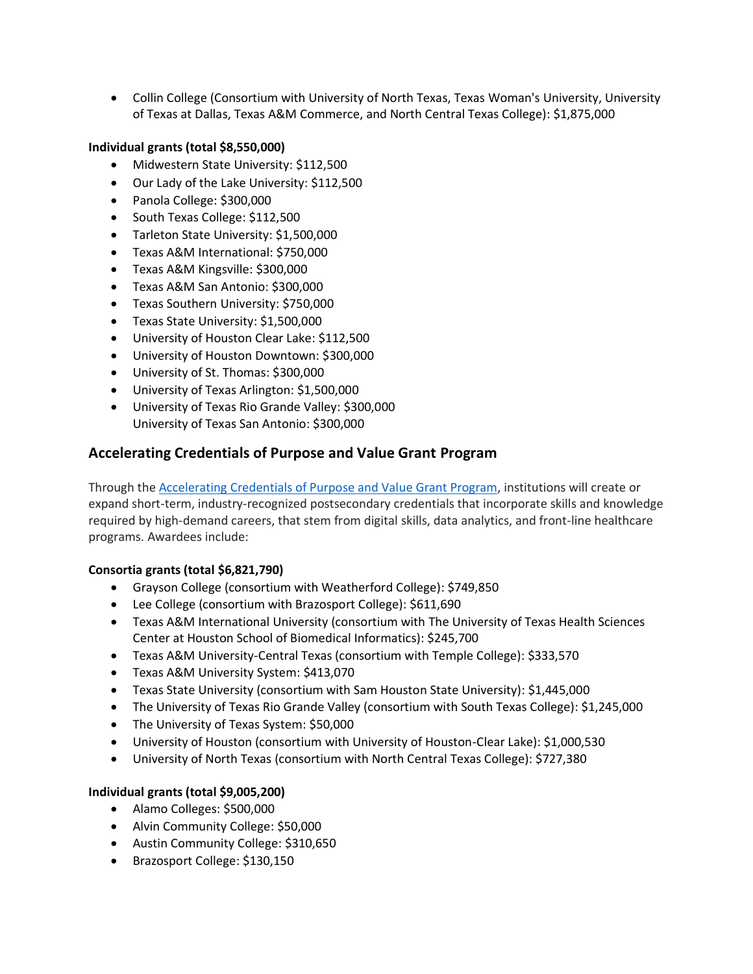• Collin College (Consortium with University of North Texas, Texas Woman's University, University of Texas at Dallas, Texas A&M Commerce, and North Central Texas College): \$1,875,000

#### **Individual grants (total \$8,550,000)**

- Midwestern State University: \$112,500
- Our Lady of the Lake University: \$112,500
- Panola College: \$300,000
- South Texas College: \$112,500
- Tarleton State University: \$1,500,000
- Texas A&M International: \$750,000
- Texas A&M Kingsville: \$300,000
- Texas A&M San Antonio: \$300,000
- Texas Southern University: \$750,000
- Texas State University: \$1,500,000
- University of Houston Clear Lake: \$112,500
- University of Houston Downtown: \$300,000
- University of St. Thomas: \$300,000
- University of Texas Arlington: \$1,500,000
- University of Texas Rio Grande Valley: \$300,000 University of Texas San Antonio: \$300,000

# **Accelerating Credentials of Purpose and Value Grant Program**

Through the [Accelerating Credentials of Purpose and Value Grant Program,](https://www.highered.texas.gov/institutional-resources-programs/institutional-grant-opportunities/accelerating-credentials-of-purpose-and-value-grant-program/) institutions will create or expand short-term, industry-recognized postsecondary credentials that incorporate skills and knowledge required by high-demand careers, that stem from digital skills, data analytics, and front-line healthcare programs. Awardees include:

### **Consortia grants (total \$6,821,790)**

- Grayson College (consortium with Weatherford College): \$749,850
- Lee College (consortium with Brazosport College): \$611,690
- Texas A&M International University (consortium with The University of Texas Health Sciences Center at Houston School of Biomedical Informatics): \$245,700
- Texas A&M University-Central Texas (consortium with Temple College): \$333,570
- Texas A&M University System: \$413,070
- Texas State University (consortium with Sam Houston State University): \$1,445,000
- The University of Texas Rio Grande Valley (consortium with South Texas College): \$1,245,000
- The University of Texas System: \$50,000
- University of Houston (consortium with University of Houston-Clear Lake): \$1,000,530
- University of North Texas (consortium with North Central Texas College): \$727,380

### **Individual grants (total \$9,005,200)**

- Alamo Colleges: \$500,000
- Alvin Community College: \$50,000
- Austin Community College: \$310,650
- Brazosport College: \$130,150